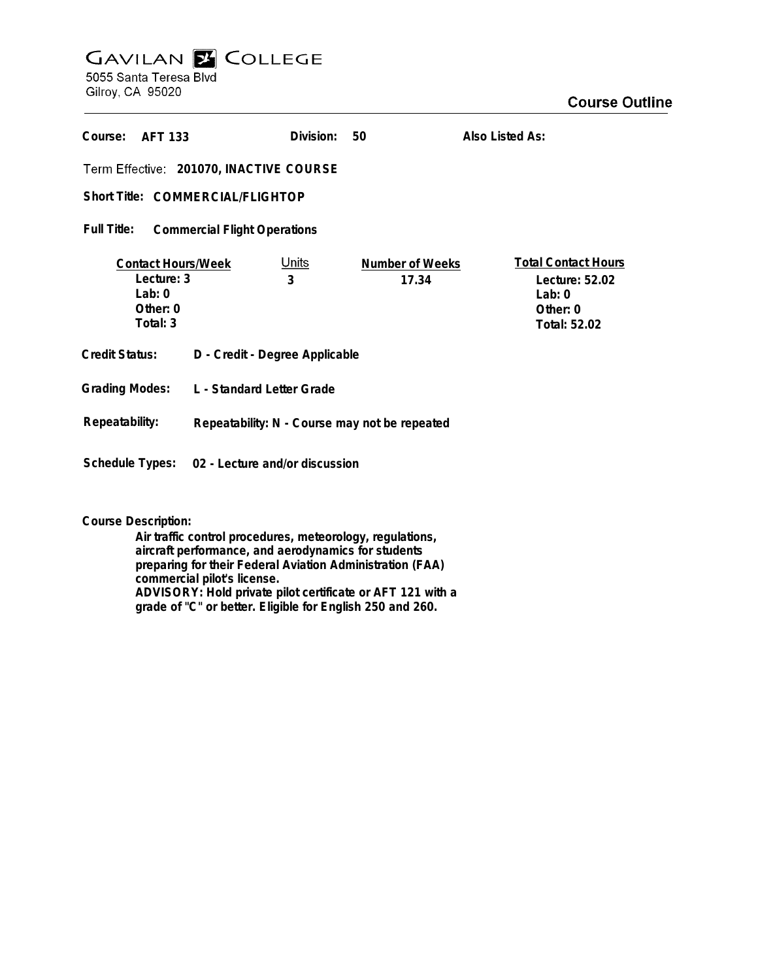## **GAVILAN Z COLLEGE** 5055 Santa Teresa Blvd

Gilroy, CA 95020

| Course:<br><b>AFT 133</b>                                                     |                                               | Division:         | 50                       | Also Listed As:                                                                      |
|-------------------------------------------------------------------------------|-----------------------------------------------|-------------------|--------------------------|--------------------------------------------------------------------------------------|
| Term Effective: 201070, INACTIVE COURSE                                       |                                               |                   |                          |                                                                                      |
| Short Title: COMMERCIAL/FLIGHTOP                                              |                                               |                   |                          |                                                                                      |
| <b>Full Title:</b><br><b>Commercial Flight Operations</b>                     |                                               |                   |                          |                                                                                      |
| <b>Contact Hours/Week</b><br>Lecture: 3<br>Lab: $0$<br>Other: $0$<br>Total: 3 |                                               | <u>Units</u><br>3 | Number of Weeks<br>17.34 | <b>Total Contact Hours</b><br>Lecture: 52.02<br>Lab: $0$<br>Other: 0<br>Total: 52.02 |
| Credit Status:                                                                | D - Credit - Degree Applicable                |                   |                          |                                                                                      |
| <b>Grading Modes:</b>                                                         | L - Standard Letter Grade                     |                   |                          |                                                                                      |
| Repeatability:                                                                | Repeatability: N - Course may not be repeated |                   |                          |                                                                                      |
| Schedule Types:                                                               | 02 - Lecture and/or discussion                |                   |                          |                                                                                      |

**Course Description:**

**Air traffic control procedures, meteorology, regulations, aircraft performance, and aerodynamics for students preparing for their Federal Aviation Administration (FAA) commercial pilot's license. ADVISORY: Hold private pilot certificate or AFT 121 with a grade of "C" or better. Eligible for English 250 and 260.**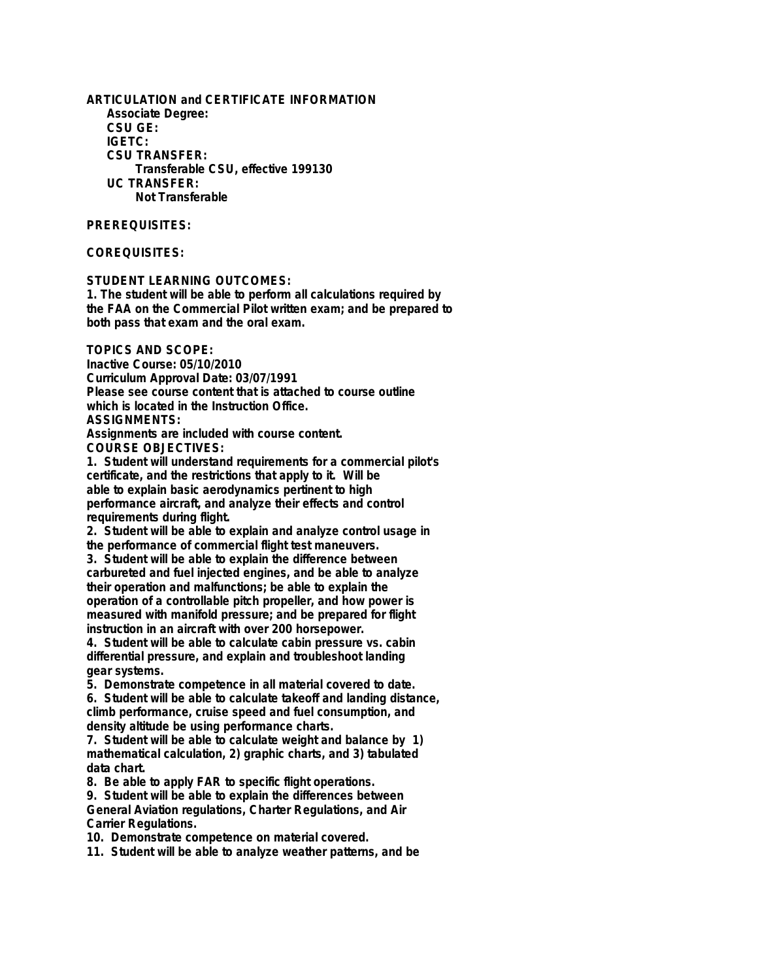**ARTICULATION and CERTIFICATE INFORMATION Associate Degree: CSU GE: IGETC: CSU TRANSFER: Transferable CSU, effective 199130 UC TRANSFER: Not Transferable**

## **PREREQUISITES:**

## **COREQUISITES:**

**STUDENT LEARNING OUTCOMES:**

**1. The student will be able to perform all calculations required by the FAA on the Commercial Pilot written exam; and be prepared to both pass that exam and the oral exam.**

**TOPICS AND SCOPE:**

**Inactive Course: 05/10/2010 Curriculum Approval Date: 03/07/1991 Please see course content that is attached to course outline which is located in the Instruction Office. ASSIGNMENTS:**

**Assignments are included with course content. COURSE OBJECTIVES:**

**1. Student will understand requirements for a commercial pilot's certificate, and the restrictions that apply to it. Will be able to explain basic aerodynamics pertinent to high performance aircraft, and analyze their effects and control requirements during flight.**

**2. Student will be able to explain and analyze control usage in the performance of commercial flight test maneuvers.**

**3. Student will be able to explain the difference between carbureted and fuel injected engines, and be able to analyze their operation and malfunctions; be able to explain the operation of a controllable pitch propeller, and how power is measured with manifold pressure; and be prepared for flight instruction in an aircraft with over 200 horsepower.**

**4. Student will be able to calculate cabin pressure vs. cabin differential pressure, and explain and troubleshoot landing gear systems.**

**5. Demonstrate competence in all material covered to date.**

**6. Student will be able to calculate takeoff and landing distance, climb performance, cruise speed and fuel consumption, and density altitude be using performance charts.**

**7. Student will be able to calculate weight and balance by 1) mathematical calculation, 2) graphic charts, and 3) tabulated data chart.**

**8. Be able to apply FAR to specific flight operations.**

**9. Student will be able to explain the differences between General Aviation regulations, Charter Regulations, and Air Carrier Regulations.**

**10. Demonstrate competence on material covered.**

**11. Student will be able to analyze weather patterns, and be**